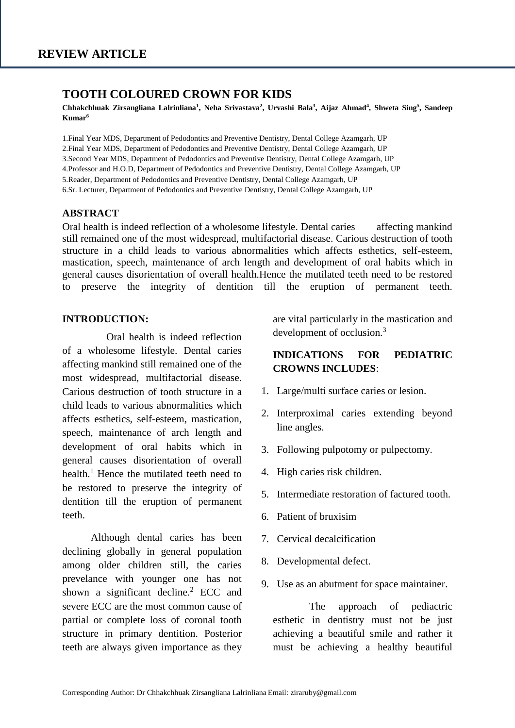### **TOOTH COLOURED CROWN FOR KIDS**

**Chhakchhuak Zirsangliana Lalrinliana<sup>1</sup> , Neha Srivastava<sup>2</sup> , Urvashi Bala<sup>3</sup> , Aijaz Ahmad<sup>4</sup> , Shweta Sing<sup>5</sup> , Sandeep Kumar<sup>6</sup>**

1.Final Year MDS, Department of Pedodontics and Preventive Dentistry, Dental College Azamgarh, UP 2.Final Year MDS, Department of Pedodontics and Preventive Dentistry, Dental College Azamgarh, UP 3.Second Year MDS, Department of Pedodontics and Preventive Dentistry, Dental College Azamgarh, UP 4.Professor and H.O.D, Department of Pedodontics and Preventive Dentistry, Dental College Azamgarh, UP 5.Reader, Department of Pedodontics and Preventive Dentistry, Dental College Azamgarh, UP 6.Sr. Lecturer, Department of Pedodontics and Preventive Dentistry, Dental College Azamgarh, UP

#### **ABSTRACT**

Oral health is indeed reflection of a wholesome lifestyle. Dental caries affecting mankind still remained one of the most widespread, multifactorial disease. Carious destruction of tooth structure in a child leads to various abnormalities which affects esthetics, self-esteem, mastication, speech, maintenance of arch length and development of oral habits which in general causes disorientation of overall health.Hence the mutilated teeth need to be restored to preserve the integrity of dentition till the eruption of permanent teeth.

### **INTRODUCTION:**

Oral health is indeed reflection of a wholesome lifestyle. Dental caries affecting mankind still remained one of the most widespread, multifactorial disease. Carious destruction of tooth structure in a child leads to various abnormalities which affects esthetics, self-esteem, mastication, speech, maintenance of arch length and development of oral habits which in general causes disorientation of overall health.<sup>1</sup> Hence the mutilated teeth need to be restored to preserve the integrity of dentition till the eruption of permanent teeth.

 Although dental caries has been declining globally in general population among older children still, the caries prevelance with younger one has not shown a significant decline.<sup>2</sup> ECC and severe ECC are the most common cause of partial or complete loss of coronal tooth structure in primary dentition. Posterior teeth are always given importance as they are vital particularly in the mastication and development of occlusion.<sup>3</sup>

## **INDICATIONS FOR PEDIATRIC CROWNS INCLUDES**:

- 1. Large/multi surface caries or lesion.
- 2. Interproximal caries extending beyond line angles.
- 3. Following pulpotomy or pulpectomy.
- 4. High caries risk children.
- 5. Intermediate restoration of factured tooth.
- 6. Patient of bruxisim
- 7. Cervical decalcification
- 8. Developmental defect.
- 9. Use as an abutment for space maintainer.

 The approach of pediactric esthetic in dentistry must not be just achieving a beautiful smile and rather it must be achieving a healthy beautiful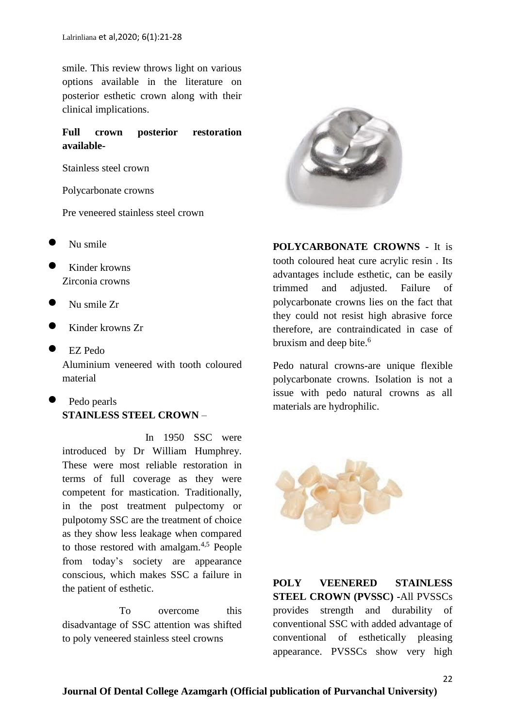smile. This review throws light on various options available in the literature on posterior esthetic crown along with their clinical implications.

### **Full crown posterior restoration available-**

Stainless steel crown

Polycarbonate crowns

Pre veneered stainless steel crown

- Nu smile
- Kinder krowns Zirconia crowns
- Nu smile Zr
- Kinder krowns Zr
- EZ Pedo Aluminium veneered with tooth coloured material
- Pedo pearls **STAINLESS STEEL CROWN** –

In 1950 SSC were introduced by Dr William Humphrey. These were most reliable restoration in terms of full coverage as they were competent for mastication. Traditionally, in the post treatment pulpectomy or pulpotomy SSC are the treatment of choice as they show less leakage when compared to those restored with amalgam.4,5 People from today's society are appearance conscious, which makes SSC a failure in the patient of esthetic.

 To overcome this disadvantage of SSC attention was shifted to poly veneered stainless steel crowns



**POLYCARBONATE CROWNS** - It is tooth coloured heat cure acrylic resin . Its advantages include esthetic, can be easily trimmed and adjusted. Failure of polycarbonate crowns lies on the fact that they could not resist high abrasive force therefore, are contraindicated in case of bruxism and deep bite.<sup>6</sup>

Pedo natural crowns-are unique flexible polycarbonate crowns. Isolation is not a issue with pedo natural crowns as all materials are hydrophilic.



**POLY VEENERED STAINLESS STEEL CROWN (PVSSC) -**All PVSSCs provides strength and durability of conventional SSC with added advantage of conventional of esthetically pleasing appearance. PVSSCs show very high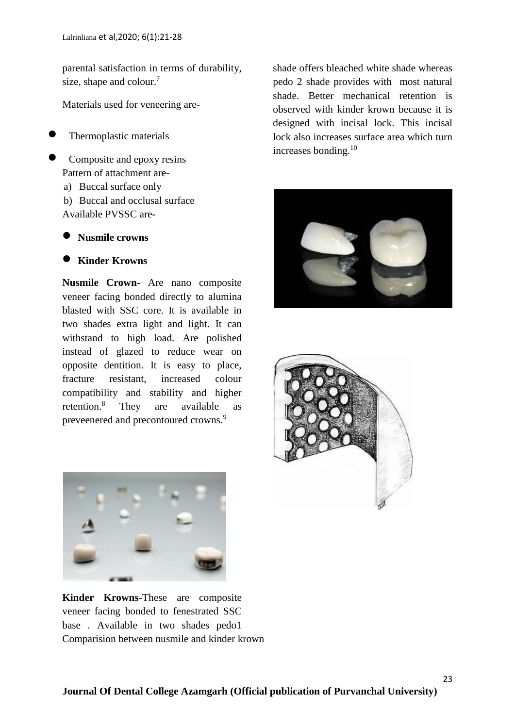parental satisfaction in terms of durability, size, shape and colour.<sup>7</sup>

Materials used for veneering are-

Thermoplastic materials

- Composite and epoxy resins Pattern of attachment are
	- a) Buccal surface only
	- b) Buccal and occlusal surface Available PVSSC are-
	- **Nusmile crowns**

### **Kinder Krowns**

**Nusmile Crown-** Are nano composite veneer facing bonded directly to alumina blasted with SSC core. It is available in two shades extra light and light. It can withstand to high load. Are polished instead of glazed to reduce wear on opposite dentition. It is easy to place, fracture resistant, increased colour compatibility and stability and higher retention.<sup>8</sup> They are available as preveenered and precontoured crowns.<sup>9</sup>

shade offers bleached white shade whereas pedo 2 shade provides with most natural shade. Better mechanical retention is observed with kinder krown because it is designed with incisal lock. This incisal lock also increases surface area which turn increases bonding.<sup>10</sup>







**Kinder Krowns**-These are composite veneer facing bonded to fenestrated SSC base . Available in two shades pedo1 Comparision between nusmile and kinder krown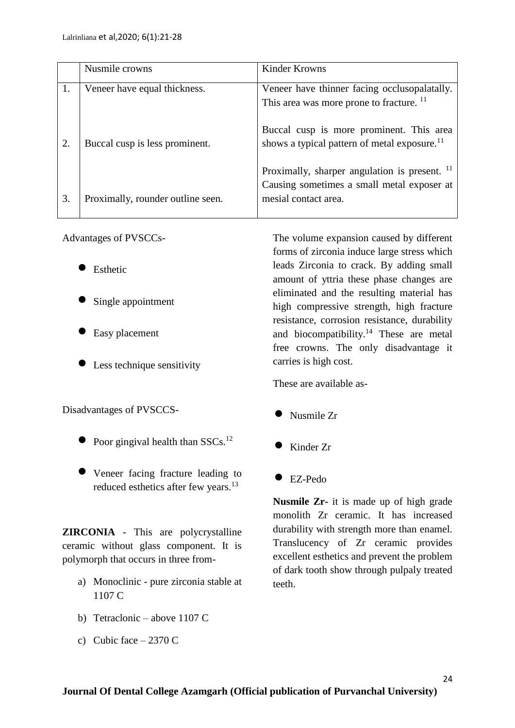|              | Nusmile crowns                    | Kinder Krowns                                                                                                                  |
|--------------|-----------------------------------|--------------------------------------------------------------------------------------------------------------------------------|
|              | Veneer have equal thickness.      | Veneer have thinner facing occlusopalatally.<br>This area was more prone to fracture. <sup>11</sup>                            |
| $\mathbf{2}$ | Buccal cusp is less prominent.    | Buccal cusp is more prominent. This area<br>shows a typical pattern of metal exposure. <sup>11</sup>                           |
| 3.           | Proximally, rounder outline seen. | Proximally, sharper angulation is present. <sup>11</sup><br>Causing sometimes a small metal exposer at<br>mesial contact area. |

Advantages of PVSCCs-

- Esthetic
- Single appointment
- Easy placement
- Less technique sensitivity

Disadvantages of PVSCCS-

- $\bullet$  Poor gingival health than SSCs.<sup>12</sup>
- Veneer facing fracture leading to reduced esthetics after few years.<sup>13</sup>

**ZIRCONIA** - This are polycrystalline ceramic without glass component. It is polymorph that occurs in three from-

- a) Monoclinic pure zirconia stable at 1107 C
- b) Tetraclonic above 1107 C
- c) Cubic face  $-2370$  C

The volume expansion caused by different forms of zirconia induce large stress which leads Zirconia to crack. By adding small amount of yttria these phase changes are eliminated and the resulting material has high compressive strength, high fracture resistance, corrosion resistance, durability and biocompatibility. $14$  These are metal free crowns. The only disadvantage it carries is high cost.

These are available as-

- Nusmile Zr
- Kinder Zr
- EZ-Pedo

**Nusmile Zr-** it is made up of high grade monolith Zr ceramic. It has increased durability with strength more than enamel. Translucency of Zr ceramic provides excellent esthetics and prevent the problem of dark tooth show through pulpaly treated teeth.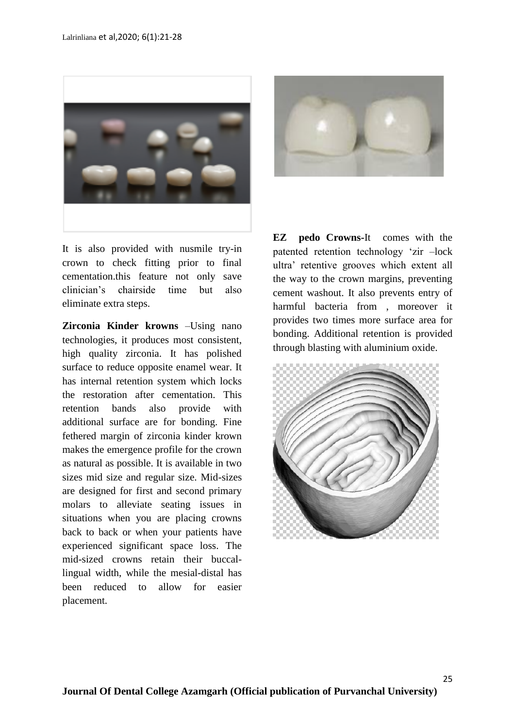

It is also provided with nusmile try-in crown to check fitting prior to final cementation.this feature not only save clinician's chairside time but also eliminate extra steps.

**Zirconia Kinder krowns** –Using nano technologies, it produces most consistent, high quality zirconia. It has polished surface to reduce opposite enamel wear. It has internal retention system which locks the restoration after cementation. This retention bands also provide with additional surface are for bonding. Fine fethered margin of zirconia kinder krown makes the emergence profile for the crown as natural as possible. It is available in two sizes mid size and regular size. Mid-sizes are designed for first and second primary molars to alleviate seating issues in situations when you are placing crowns back to back or when your patients have experienced significant space loss. The mid-sized crowns retain their buccallingual width, while the mesial-distal has been reduced to allow for easier placement.



**EZ pedo Crowns-**It comes with the patented retention technology 'zir –lock ultra' retentive grooves which extent all the way to the crown margins, preventing cement washout. It also prevents entry of harmful bacteria from , moreover it provides two times more surface area for bonding. Additional retention is provided through blasting with aluminium oxide.

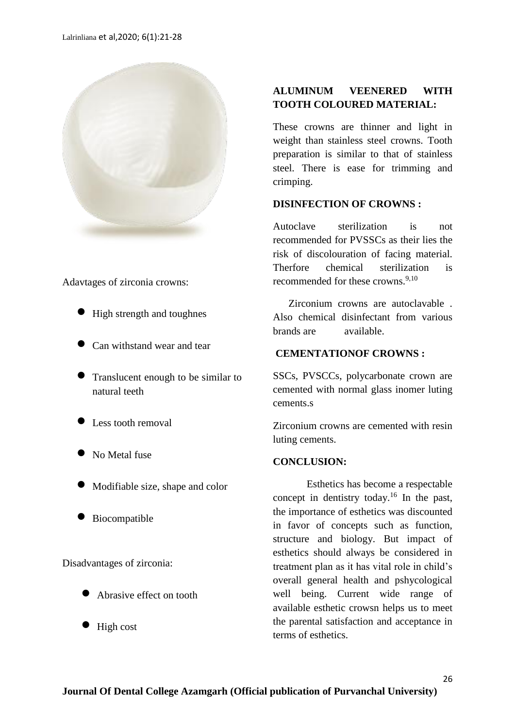

Adavtages of zirconia crowns:

- High strength and toughnes
- Can withstand wear and tear
- Translucent enough to be similar to natural teeth
- Less tooth removal
- No Metal fuse
- Modifiable size, shape and color
- Biocompatible

Disadvantages of zirconia:

- Abrasive effect on tooth
- $\bullet$  High cost

# **ALUMINUM VEENERED WITH TOOTH COLOURED MATERIAL:**

These crowns are thinner and light in weight than stainless steel crowns. Tooth preparation is similar to that of stainless steel. There is ease for trimming and crimping.

### **DISINFECTION OF CROWNS :**

Autoclave sterilization is not recommended for PVSSCs as their lies the risk of discolouration of facing material. Therfore chemical sterilization is recommended for these crowns.<sup>9,10</sup>

 Zirconium crowns are autoclavable . Also chemical disinfectant from various brands are available.

# **CEMENTATIONOF CROWNS :**

SSCs, PVSCCs, polycarbonate crown are cemented with normal glass inomer luting cements.s

Zirconium crowns are cemented with resin luting cements.

### **CONCLUSION:**

Esthetics has become a respectable concept in dentistry today.<sup>16</sup> In the past, the importance of esthetics was discounted in favor of concepts such as function, structure and biology. But impact of esthetics should always be considered in treatment plan as it has vital role in child's overall general health and pshycological well being. Current wide range of available esthetic crowsn helps us to meet the parental satisfaction and acceptance in terms of esthetics.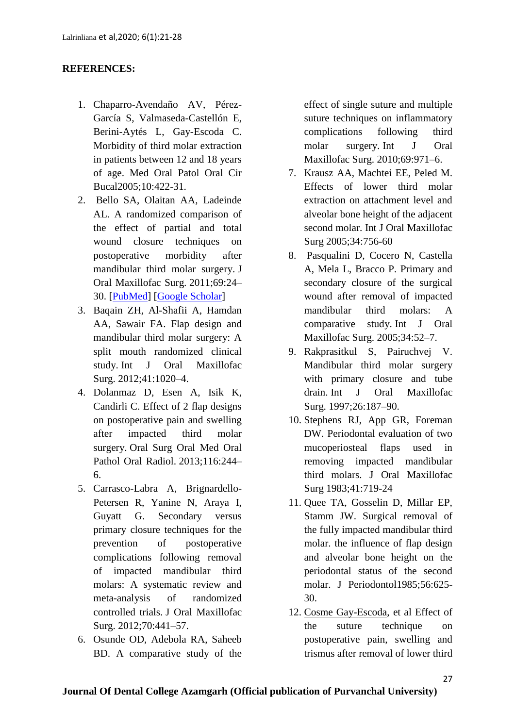# **REFERENCES:**

- 1. Chaparro-Avendaño AV, Pérez-García S, Valmaseda-Castellón E, Berini-Aytés L, Gay-Escoda C. Morbidity of third molar extraction in patients between 12 and 18 years of age. Med Oral Patol Oral Cir Bucal2005;10:422-31.
- 2. Bello SA, Olaitan AA, Ladeinde AL. A randomized comparison of the effect of partial and total wound closure techniques on postoperative morbidity after mandibular third molar surgery. J Oral Maxillofac Surg. 2011;69:24– 30. [\[PubMed\]](https://www.ncbi.nlm.nih.gov/pubmed/21497001) [\[Google Scholar\]](https://scholar.google.com/scholar_lookup?journal=J+Oral+Maxillofac+Surg&title=A+randomized+comparison+of+the+effect+of+partial+and+total+wound+closure+techniques+on+postoperative+morbidity+after+mandibular+third+molar+surgery&author=SA+Bello&author=AA+Olaitan&author=AL+Ladeinde&volume=69&publication_year=2011&pages=24-30&pmid=21497001&)
- 3. Baqain ZH, Al-Shafii A, Hamdan AA, Sawair FA. Flap design and mandibular third molar surgery: A split mouth randomized clinical study. Int J Oral Maxillofac Surg. 2012;41:1020–4.
- 4. Dolanmaz D, Esen A, Isik K, Candirli C. Effect of 2 flap designs on postoperative pain and swelling after impacted third molar surgery. Oral Surg Oral Med Oral Pathol Oral Radiol. 2013;116:244– 6.
- 5. Carrasco-Labra A, Brignardello-Petersen R, Yanine N, Araya I, Guyatt G. Secondary versus primary closure techniques for the prevention of postoperative complications following removal of impacted mandibular third molars: A systematic review and meta-analysis of randomized controlled trials. J Oral Maxillofac Surg. 2012;70:441–57.
- 6. Osunde OD, Adebola RA, Saheeb BD. A comparative study of the

effect of single suture and multiple suture techniques on inflammatory complications following third molar surgery. Int J Oral Maxillofac Surg. 2010;69:971–6.

- 7. Krausz AA, Machtei EE, Peled M. Effects of lower third molar extraction on attachment level and alveolar bone height of the adjacent second molar. Int J Oral Maxillofac Surg 2005;34:756-60
- 8. Pasqualini D, Cocero N, Castella A, Mela L, Bracco P. Primary and secondary closure of the surgical wound after removal of impacted mandibular third molars: A comparative study. Int J Oral Maxillofac Surg. 2005;34:52–7.
- 9. Rakprasitkul S, Pairuchvej V. Mandibular third molar surgery with primary closure and tube drain. Int J Oral Maxillofac Surg. 1997;26:187–90.
- 10. Stephens RJ, App GR, Foreman DW. Periodontal evaluation of two mucoperiosteal flaps used in removing impacted mandibular third molars. J Oral Maxillofac Surg 1983;41:719-24
- 11. Quee TA, Gosselin D, Millar EP, Stamm JW. Surgical removal of the fully impacted mandibular third molar. the influence of flap design and alveolar bone height on the periodontal status of the second molar. J Periodontol1985;56:625- 30.
- 12. [Cosme Gay-Escoda,](https://www.ncbi.nlm.nih.gov/pubmed/?term=Gay-Escoda%20C%5BAuthor%5D&cauthor=true&cauthor_uid=25662551) et al Effect of the suture technique on postoperative pain, swelling and trismus after removal of lower third